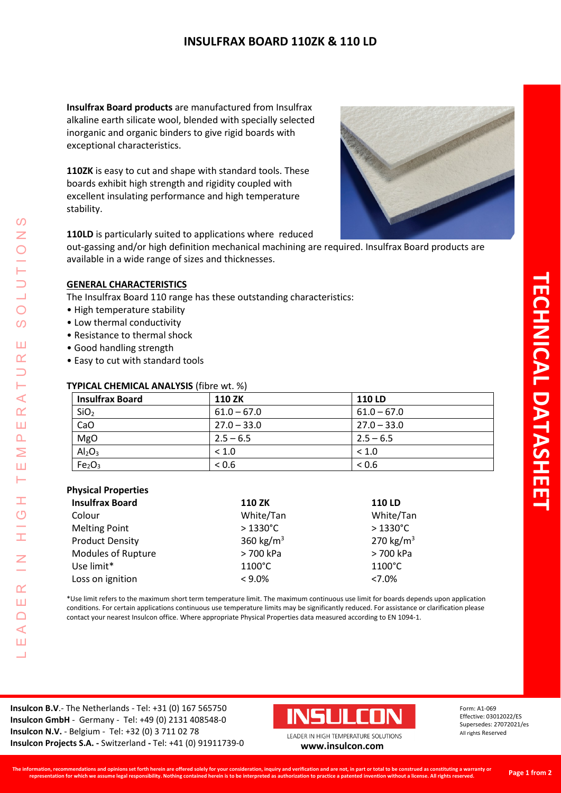# **INSULFRAX BOARD 110ZK & 110 LD**

**Insulfrax Board products** are manufactured from Insulfrax alkaline earth silicate wool, blended with specially selected inorganic and organic binders to give rigid boards with exceptional characteristics.

**110ZK** is easy to cut and shape with standard tools. These boards exhibit high strength and rigidity coupled with excellent insulating performance and high temperature stability.



**110LD** is particularly suited to applications where reduced

out-gassing and/or high definition mechanical machining are required. Insulfrax Board products are available in a wide range of sizes and thicknesses.

### **GENERAL CHARACTERISTICS**

The Insulfrax Board 110 range has these outstanding characteristics:

- High temperature stability
- Low thermal conductivity
- Resistance to thermal shock
- Good handling strength
- Easy to cut with standard tools

### **TYPICAL CHEMICAL ANALYSIS** (fibre wt. %)

| <b>Insulfrax Board</b>         | <b>110 ZK</b> | <b>110 LD</b> |
|--------------------------------|---------------|---------------|
| SiO <sub>2</sub>               | $61.0 - 67.0$ | $61.0 - 67.0$ |
| CaO                            | $27.0 - 33.0$ | $27.0 - 33.0$ |
| MgO                            | $2.5 - 6.5$   | $2.5 - 6.5$   |
| Al <sub>2</sub> O <sub>3</sub> | ~1.0          | < 1.0         |
| Fe <sub>2</sub> O <sub>3</sub> | < 0.6         | < 0.6         |

#### **Physical Properties**

LEADER IN HIGH TEMPERATURE SOLUTIONS

Ŧ  $\overline{C}$ 

Ì

 $\overline{z}$ 

 $\alpha$ Ш  $\Box$  $\triangleleft$ Ш <u>a a</u>

 $\Omega$ Z

 $\bigcirc$  $\boldsymbol{\omega}$ 

Ш  $\alpha$ 

⊢  $\prec$  $\alpha$ Ш  $\Delta$ Σ Ш Н

| <b>Insulfrax Board</b>    | <b>110 ZK</b>         | <b>110 LD</b>         |
|---------------------------|-----------------------|-----------------------|
| Colour                    | White/Tan             | White/Tan             |
| <b>Melting Point</b>      | $>1330^{\circ}$ C     | $>1330^{\circ}$ C     |
| <b>Product Density</b>    | 360 kg/m <sup>3</sup> | 270 kg/m <sup>3</sup> |
| <b>Modules of Rupture</b> | > 700 kPa             | > 700 kPa             |
| Use limit*                | $1100^{\circ}$ C      | $1100^{\circ}$ C      |
| Loss on ignition          | $< 9.0\%$             | $< 7.0\%$             |

\*Use limit refers to the maximum short term temperature limit. The maximum continuous use limit for boards depends upon application conditions. For certain applications continuous use temperature limits may be significantly reduced. For assistance or clarification please contact your nearest Insulcon office. Where appropriate Physical Properties data measured according to EN 1094-1.

**Insulcon B.V**.- The Netherlands - Tel: +31 (0) 167 565750 **Insulcon GmbH** - Germany - Tel: +49 (0) 2131 408548-0 **Insulcon N.V.** - Belgium - Tel: +32 (0) 3 711 02 78 **Insulcon Projects S.A. -** Switzerland **-** Tel: +41 (0) 91911739-0 **[www.insulcon.com](http://www.insulcon.com/)**



Form: A1-069 Effective: 03012022/ES Supersedes: 27072021/es All rights Reserved